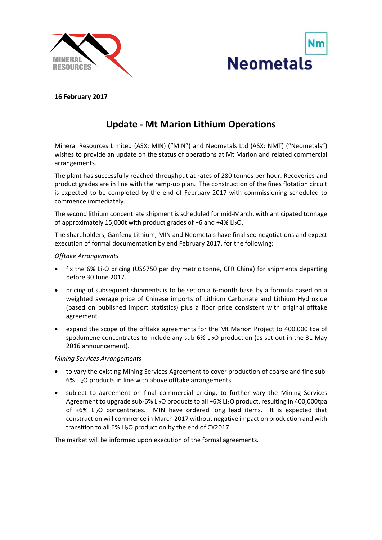



# **16 February 2017**

# **Update ‐ Mt Marion Lithium Operations**

Mineral Resources Limited (ASX: MIN) ("MIN") and Neometals Ltd (ASX: NMT) ("Neometals") wishes to provide an update on the status of operations at Mt Marion and related commercial arrangements.

The plant has successfully reached throughput at rates of 280 tonnes per hour. Recoveries and product grades are in line with the ramp‐up plan. The construction of the fines flotation circuit is expected to be completed by the end of February 2017 with commissioning scheduled to commence immediately.

The second lithium concentrate shipment is scheduled for mid‐March, with anticipated tonnage of approximately 15,000t with product grades of  $+6$  and  $+4\%$  Li<sub>2</sub>O.

The shareholders, Ganfeng Lithium, MIN and Neometals have finalised negotiations and expect execution of formal documentation by end February 2017, for the following:

#### *Offtake Arrangements*

- fix the 6% Li2O pricing (US\$750 per dry metric tonne, CFR China) for shipments departing before 30 June 2017.
- pricing of subsequent shipments is to be set on a 6‐month basis by a formula based on a weighted average price of Chinese imports of Lithium Carbonate and Lithium Hydroxide (based on published import statistics) plus a floor price consistent with original offtake agreement.
- expand the scope of the offtake agreements for the Mt Marion Project to 400,000 tpa of spodumene concentrates to include any sub-6% Li<sub>2</sub>O production (as set out in the 31 May 2016 announcement).

#### *Mining Services Arrangements*

- to vary the existing Mining Services Agreement to cover production of coarse and fine sub‐ 6% Li2O products in line with above offtake arrangements.
- subject to agreement on final commercial pricing, to further vary the Mining Services Agreement to upgrade sub-6% Li<sub>2</sub>O products to all +6% Li<sub>2</sub>O product, resulting in 400,000tpa of +6% Li2O concentrates. MIN have ordered long lead items. It is expected that construction will commence in March 2017 without negative impact on production and with transition to all  $6\%$  Li<sub>2</sub>O production by the end of CY2017.

The market will be informed upon execution of the formal agreements.